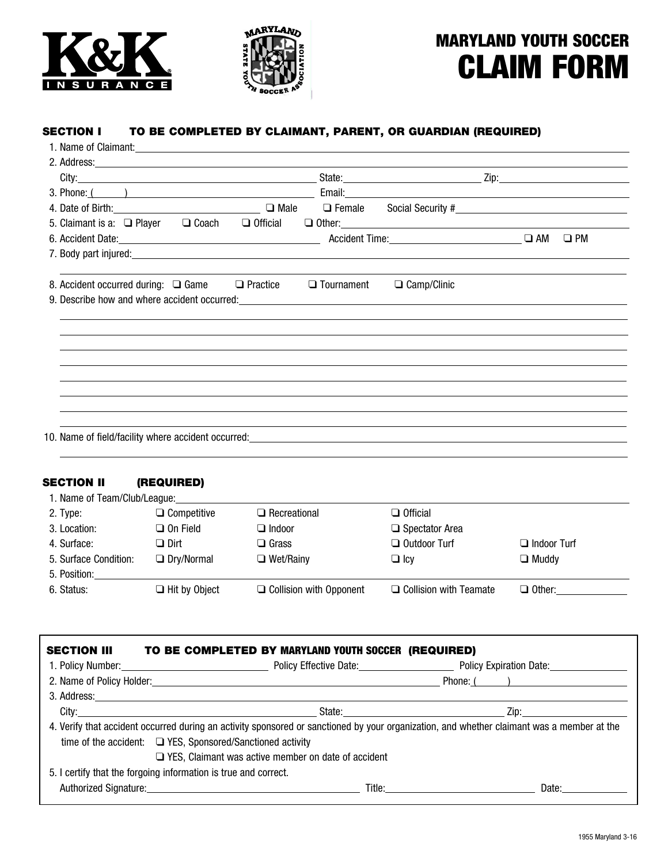



# MARYLAND YOUTH SOCCER CLAIM FORM

## SECTION I TO BE COMPLETED BY CLAIMANT, PARENT, OR GUARDIAN (REQUIRED)

| 3. Phone: ( )                                                                                                                                                                                                                  |                   |                                                          |  |           |
|--------------------------------------------------------------------------------------------------------------------------------------------------------------------------------------------------------------------------------|-------------------|----------------------------------------------------------|--|-----------|
| 4. Date of Birth: <u>Cambridge Community of Birth</u>                                                                                                                                                                          | $\Box$ Male       | □ Female Social Security #<br>□ Female Social Security # |  |           |
| 5. Claimant is a: $\Box$ Player $\Box$ Coach $\Box$ Official                                                                                                                                                                   |                   | $\Box$ Other:                                            |  |           |
|                                                                                                                                                                                                                                |                   |                                                          |  | $\Box$ PM |
|                                                                                                                                                                                                                                |                   |                                                          |  |           |
| 8. Accident occurred during: $\Box$ Game $\Box$ Practice                                                                                                                                                                       | $\Box$ Tournament | $\Box$ Camp/Clinic                                       |  |           |
| 9. Describe how and where accident occurred: example and a state of the state of the state of the state of the state of the state of the state of the state of the state of the state of the state of the state of the state o |                   |                                                          |  |           |
|                                                                                                                                                                                                                                |                   |                                                          |  |           |
|                                                                                                                                                                                                                                |                   |                                                          |  |           |
|                                                                                                                                                                                                                                |                   |                                                          |  |           |
|                                                                                                                                                                                                                                |                   |                                                          |  |           |
|                                                                                                                                                                                                                                |                   |                                                          |  |           |
|                                                                                                                                                                                                                                |                   |                                                          |  |           |
|                                                                                                                                                                                                                                |                   |                                                          |  |           |
|                                                                                                                                                                                                                                |                   |                                                          |  |           |
|                                                                                                                                                                                                                                |                   |                                                          |  |           |

## SECTION II (REQUIRED)

| 1. Name of Team/Club/League: |                      |                                |                               |                    |
|------------------------------|----------------------|--------------------------------|-------------------------------|--------------------|
| 2. Type:                     | $\Box$ Competitive   | $\Box$ Recreational            | $\Box$ Official               |                    |
| 3. Location:                 | $\Box$ On Field      | $\Box$ Indoor                  | $\Box$ Spectator Area         |                    |
| 4. Surface:                  | $\square$ Dirt       | $\Box$ Grass                   | $\Box$ Outdoor Turf           | $\Box$ Indoor Turf |
| 5. Surface Condition:        | $\Box$ Dry/Normal    | $\Box$ Wet/Rainy               | $\square$ Icv                 | $\Box$ Muddy       |
| 5. Position:                 |                      |                                |                               |                    |
| 6. Status:                   | $\Box$ Hit by Object | $\Box$ Collision with Opponent | $\Box$ Collision with Teamate | $\Box$ Other:      |
|                              |                      |                                |                               |                    |

| <b>SECTION III</b> | TO BE COMPLETED BY MARYLAND YOUTH SOCCER (REQUIRED)                                                                                        |                                                                                                                                                                                                                                |
|--------------------|--------------------------------------------------------------------------------------------------------------------------------------------|--------------------------------------------------------------------------------------------------------------------------------------------------------------------------------------------------------------------------------|
|                    |                                                                                                                                            |                                                                                                                                                                                                                                |
|                    |                                                                                                                                            | Phone: (                                                                                                                                                                                                                       |
|                    |                                                                                                                                            |                                                                                                                                                                                                                                |
|                    |                                                                                                                                            |                                                                                                                                                                                                                                |
|                    | 4. Verify that accident occurred during an activity sponsored or sanctioned by your organization, and whether claimant was a member at the |                                                                                                                                                                                                                                |
|                    | time of the accident: $\Box$ YES, Sponsored/Sanctioned activity                                                                            |                                                                                                                                                                                                                                |
|                    | $\Box$ YES, Claimant was active member on date of accident                                                                                 |                                                                                                                                                                                                                                |
|                    | 5. I certify that the forgoing information is true and correct.                                                                            |                                                                                                                                                                                                                                |
|                    |                                                                                                                                            | Date: the contract of the contract of the contract of the contract of the contract of the contract of the contract of the contract of the contract of the contract of the contract of the contract of the contract of the cont |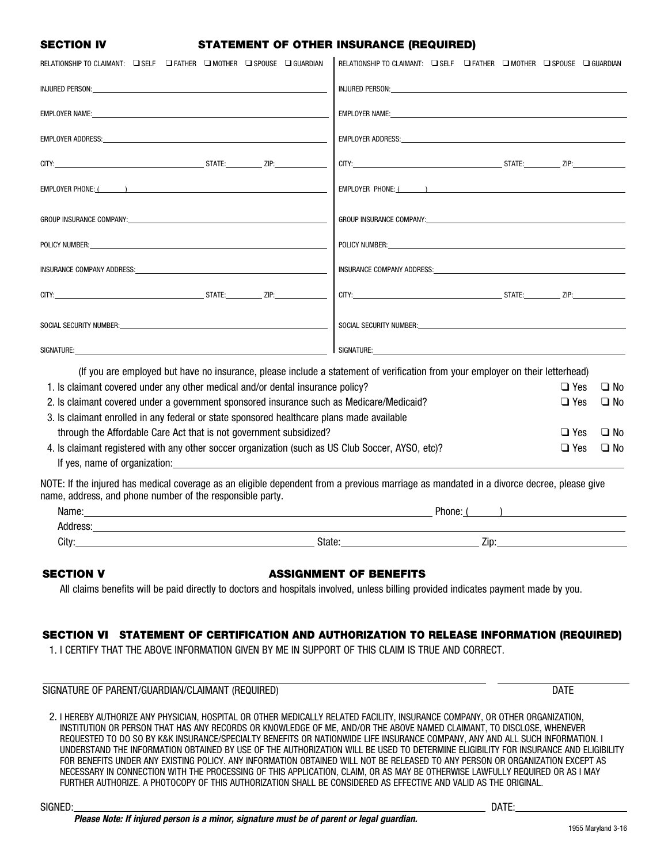## SECTION IV STATEMENT OF OTHER INSURANCE (REQUIRED)

| RELATIONSHIP TO CLAIMANT: □ SELF □ FATHER □ MOTHER □ SPOUSE □ GUARDIAN                                                                                                                                                              | RELATIONSHIP TO CLAIMANT: Q SELF Q FATHER Q MOTHER Q SPOUSE Q GUARDIAN                                                                                                                                                         |            |              |
|-------------------------------------------------------------------------------------------------------------------------------------------------------------------------------------------------------------------------------------|--------------------------------------------------------------------------------------------------------------------------------------------------------------------------------------------------------------------------------|------------|--------------|
| <b>INJURED PERSON:</b> The state of the state of the state of the state of the state of the state of the state of the state of the state of the state of the state of the state of the state of the state of the state of the state | INJURED PERSON: We are also assessed to the contract of the contract of the contract of the contract of the contract of the contract of the contract of the contract of the contract of the contract of the contract of the co |            |              |
|                                                                                                                                                                                                                                     |                                                                                                                                                                                                                                |            |              |
|                                                                                                                                                                                                                                     | EMPLOYER ADDRESS: University of the contract of the contract of the contract of the contract of the contract of the contract of the contract of the contract of the contract of the contract of the contract of the contract o |            |              |
|                                                                                                                                                                                                                                     |                                                                                                                                                                                                                                |            |              |
|                                                                                                                                                                                                                                     |                                                                                                                                                                                                                                |            |              |
| GROUP INSURANCE COMPANY: And the state of the state of the state of the state of the state of the state of the                                                                                                                      | GROUP INSURANCE COMPANY: University of the company of the company of the company of the company of the company of the company of the company of the company of the company of the company of the company of the company of the |            |              |
|                                                                                                                                                                                                                                     | POLICY NUMBER: University of the contract of the contract of the contract of the contract of the contract of the contract of the contract of the contract of the contract of the contract of the contract of the contract of t |            |              |
|                                                                                                                                                                                                                                     |                                                                                                                                                                                                                                |            |              |
|                                                                                                                                                                                                                                     |                                                                                                                                                                                                                                |            |              |
| SOCIAL SECURITY NUMBER: WE ARREST AND THE SOCIAL SECURITY NUMBER:                                                                                                                                                                   | SOCIAL SECURITY NUMBER: SOCIAL SECURITY NUMBER:                                                                                                                                                                                |            |              |
| SIGNATURE: the contract of the contract of the contract of the contract of the contract of the contract of the contract of the contract of the contract of the contract of the contract of the contract of the contract of the      | SIGNATURE:                                                                                                                                                                                                                     |            |              |
| (If you are employed but have no insurance, please include a statement of verification from your employer on their letterhead)                                                                                                      |                                                                                                                                                                                                                                |            |              |
| 1. Is claimant covered under any other medical and/or dental insurance policy?                                                                                                                                                      |                                                                                                                                                                                                                                | $\Box$ Yes | $\Box$ No    |
| 2. Is claimant covered under a government sponsored insurance such as Medicare/Medicaid?                                                                                                                                            |                                                                                                                                                                                                                                | $\Box$ Yes | $\Box$ No    |
| 3. Is claimant enrolled in any federal or state sponsored healthcare plans made available                                                                                                                                           |                                                                                                                                                                                                                                |            |              |
| through the Affordable Care Act that is not government subsidized?                                                                                                                                                                  |                                                                                                                                                                                                                                | $\Box$ Yes | □ No         |
| 4. Is claimant registered with any other soccer organization (such as US Club Soccer, AYSO, etc)?<br>If yes, name of organization: example and a series of organization:                                                            |                                                                                                                                                                                                                                | $\Box$ Yes | $\square$ No |
| NOTE: If the injured has medical coverage as an eligible dependent from a previous marriage as mandated in a divorce decree, please give<br>name, address, and phone number of the responsible party.                               |                                                                                                                                                                                                                                |            |              |
| Name: https://www.archive.com/communications/communications/communications/communications/communications/communications/communications/communications/communications/communications/communications/communications/communicatio      |                                                                                                                                                                                                                                |            |              |
|                                                                                                                                                                                                                                     |                                                                                                                                                                                                                                |            |              |
| State:<br>City:                                                                                                                                                                                                                     | Zip:                                                                                                                                                                                                                           |            |              |
| <b>SECTION V</b><br>All claims benefits will be paid directly to doctors and hospitals involved, unless billing provided indicates payment made by you.                                                                             | <b>ASSIGNMENT OF BENEFITS</b>                                                                                                                                                                                                  |            |              |
|                                                                                                                                                                                                                                     |                                                                                                                                                                                                                                |            |              |

## SECTION VI STATEMENT OF CERTIFICATION AND AUTHORIZATION TO RELEASE INFORMATION (REQUIRED)

1. I CERTIFY THAT THE ABOVE INFORMATION GIVEN BY ME IN SUPPORT OF THIS CLAIM IS TRUE AND CORRECT.

SIGNATURE OF PARENT/GUARDIAN/CLAIMANT (REQUIRED) DATE

2. I HEREBY AUTHORIZE ANY PHYSICIAN, HOSPITAL OR OTHER MEDICALLY RELATED FACILITY, INSURANCE COMPANY, OR OTHER ORGANIZATION, INSTITUTION OR PERSON THAT HAS ANY RECORDS OR KNOWLEDGE OF ME, AND/OR THE ABOVE NAMED CLAIMANT, TO DISCLOSE, WHENEVER REQUESTED TO DO SO BY K&K INSURANCE/SPECIALTY BENEFITS OR NATIONWIDE LIFE INSURANCE COMPANY, ANY AND ALL SUCH INFORMATION. I UNDERSTAND THE INFORMATION OBTAINED BY USE OF THE AUTHORIZATION WILL BE USED TO DETERMINE ELIGIBILITY FOR INSURANCE AND ELIGIBILITY FOR BENEFITS UNDER ANY EXISTING POLICY. ANY INFORMATION OBTAINED WILL NOT BE RELEASED TO ANY PERSON OR ORGANIZATION EXCEPT AS NECESSARY IN CONNECTION WITH THE PROCESSING OF THIS APPLICATION, CLAIM, OR AS MAY BE OTHERWISE LAWFULLY REQUIRED OR AS I MAY FURTHER AUTHORIZE. A PHOTOCOPY OF THIS AUTHORIZATION SHALL BE CONSIDERED AS EFFECTIVE AND VALID AS THE ORIGINAL.

 $\overline{a}$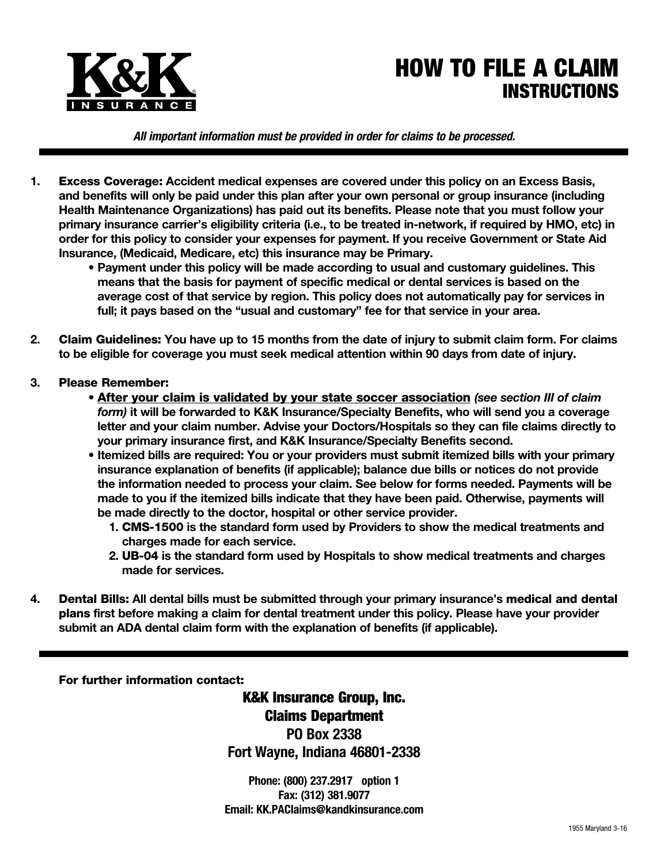

## HOW TO FILE A CLAIM INSTRUCTIONS

*All important information must be provided in order for claims to be processed.*

- **1.** Excess Coverage: **Accident medical expenses are covered under this policy on an Excess Basis, and benefits will only be paid under this plan after your own personal or group insurance (including Health Maintenance Organizations) has paid out its benefits. Please note that you must follow your primary insurance carrier's eligibility criteria (i.e., to be treated in-network, if required by HMO, etc) in order for this policy to consider your expenses for payment. If you receive Government or State Aid Insurance, (Medicaid, Medicare, etc) this insurance may be Primary.**
	- **Payment under this policy will be made according to usual and customary guidelines. This means that the basis for payment of specific medical or dental services is based on the average cost of that service by region. This policy does not automatically pay for services in full; it pays based on the "usual and customary" fee for that service in your area.**
- **2.** Claim Guidelines: **You have up to 15 months from the date of injury to submit claim form. For claims to be eligible for coverage you must seek medical attention within 90 days from date of injury.**
- **3.** Please Remember:
	- After your claim is validated by your state soccer association *(see section III of claim form)* **it will be forwarded to K&K Insurance/Specialty Benefits, who will send you a coverage letter and your claim number. Advise your Doctors/Hospitals so they can file claims directly to your primary insurance first, and K&K Insurance/Specialty Benefits second.**
	- **Itemized bills are required: You or your providers must submit itemized bills with your primary insurance explanation of benefits (if applicable); balance due bills or notices do not provide the information needed to process your claim. See below for forms needed. Payments will be made to you if the itemized bills indicate that they have been paid. Otherwise, payments will be made directly to the doctor, hospital or other service provider.**
		- **1.** CMS-1500 **is the standard form used by Providers to show the medical treatments and charges made for each service.**
		- **2.** UB-04 **is the standard form used by Hospitals to show medical treatments and charges made for services.**
- **4.** Dental Bills: **All dental bills must be submitted through your primary insurance's** medical and dental plans **first before making a claim for dental treatment under this policy. Please have your provider submit an ADA dental claim form with the explanation of benefits (if applicable).**

For further information contact:

K&K Insurance Group, Inc. Claims Department **PO Box 2338 Fort Wayne, Indiana 46801-2338**

**Phone: (800) 237.2917 option 1 Fax: (312) 381.9077 Email: KK.PAClaims@kandkinsurance.com**